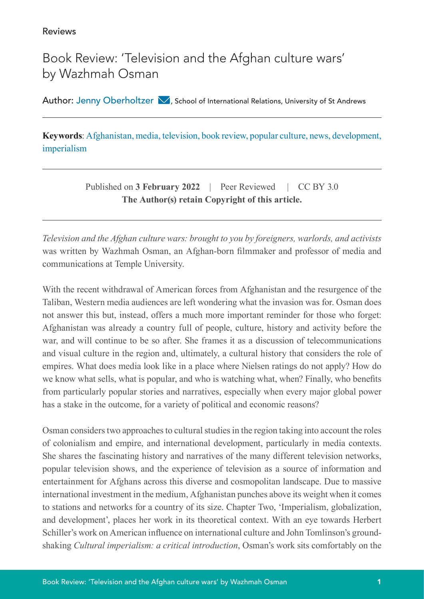Reviews

## Book Review: 'Television and the Afghan culture wars' by Wazhmah Osman

Author: Jenny Oberholtzer  $\blacksquare$ [,](mailto:jenny.oberholtzer%40gmail.com?subject=) School of International Relations, University of St Andrews

**Keywords**: Afghanistan, media, television, book review, popular culture, news, development, imperialism

> Published on **3 February 2022** | Peer Reviewed | CC BY 3.0 **The Author(s) retain Copyright of this article.**

*Television and the Afghan culture wars: brought to you by foreigners, warlords, and activists*  was written by Wazhmah Osman, an Afghan-born filmmaker and professor of media and communications at Temple University.

With the recent withdrawal of American forces from Afghanistan and the resurgence of the Taliban, Western media audiences are left wondering what the invasion was for. Osman does not answer this but, instead, offers a much more important reminder for those who forget: Afghanistan was already a country full of people, culture, history and activity before the war, and will continue to be so after. She frames it as a discussion of telecommunications and visual culture in the region and, ultimately, a cultural history that considers the role of empires. What does media look like in a place where Nielsen ratings do not apply? How do we know what sells, what is popular, and who is watching what, when? Finally, who benefits from particularly popular stories and narratives, especially when every major global power has a stake in the outcome, for a variety of political and economic reasons?

Osman considers two approaches to cultural studies in the region taking into account the roles of colonialism and empire, and international development, particularly in media contexts. She shares the fascinating history and narratives of the many different television networks, popular television shows, and the experience of television as a source of information and entertainment for Afghans across this diverse and cosmopolitan landscape. Due to massive international investment in the medium, Afghanistan punches above its weight when it comes to stations and networks for a country of its size. Chapter Two, 'Imperialism, globalization, and development', places her work in its theoretical context. With an eye towards Herbert Schiller's work on American influence on international culture and John Tomlinson's groundshaking *Cultural imperialism: a critical introduction*, Osman's work sits comfortably on the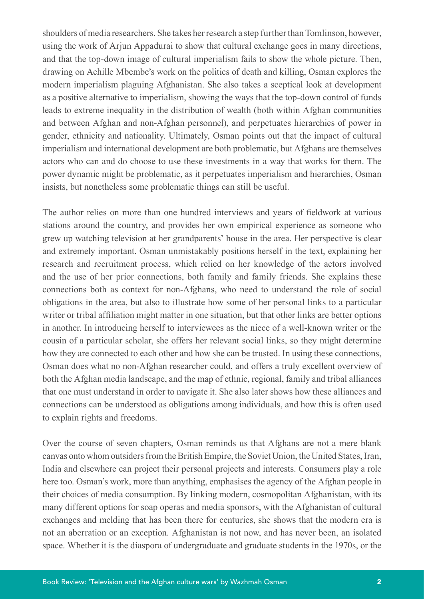shoulders of media researchers. She takes her research a step further than Tomlinson, however, using the work of Arjun Appadurai to show that cultural exchange goes in many directions, and that the top-down image of cultural imperialism fails to show the whole picture. Then, drawing on Achille Mbembe's work on the politics of death and killing, Osman explores the modern imperialism plaguing Afghanistan. She also takes a sceptical look at development as a positive alternative to imperialism, showing the ways that the top-down control of funds leads to extreme inequality in the distribution of wealth (both within Afghan communities and between Afghan and non-Afghan personnel), and perpetuates hierarchies of power in gender, ethnicity and nationality. Ultimately, Osman points out that the impact of cultural imperialism and international development are both problematic, but Afghans are themselves actors who can and do choose to use these investments in a way that works for them. The power dynamic might be problematic, as it perpetuates imperialism and hierarchies, Osman insists, but nonetheless some problematic things can still be useful.

The author relies on more than one hundred interviews and years of fieldwork at various stations around the country, and provides her own empirical experience as someone who grew up watching television at her grandparents' house in the area. Her perspective is clear and extremely important. Osman unmistakably positions herself in the text, explaining her research and recruitment process, which relied on her knowledge of the actors involved and the use of her prior connections, both family and family friends. She explains these connections both as context for non-Afghans, who need to understand the role of social obligations in the area, but also to illustrate how some of her personal links to a particular writer or tribal affiliation might matter in one situation, but that other links are better options in another. In introducing herself to interviewees as the niece of a well-known writer or the cousin of a particular scholar, she offers her relevant social links, so they might determine how they are connected to each other and how she can be trusted. In using these connections, Osman does what no non-Afghan researcher could, and offers a truly excellent overview of both the Afghan media landscape, and the map of ethnic, regional, family and tribal alliances that one must understand in order to navigate it. She also later shows how these alliances and connections can be understood as obligations among individuals, and how this is often used to explain rights and freedoms.

Over the course of seven chapters, Osman reminds us that Afghans are not a mere blank canvas onto whom outsiders from the British Empire, the Soviet Union, the United States, Iran, India and elsewhere can project their personal projects and interests. Consumers play a role here too. Osman's work, more than anything, emphasises the agency of the Afghan people in their choices of media consumption. By linking modern, cosmopolitan Afghanistan, with its many different options for soap operas and media sponsors, with the Afghanistan of cultural exchanges and melding that has been there for centuries, she shows that the modern era is not an aberration or an exception. Afghanistan is not now, and has never been, an isolated space. Whether it is the diaspora of undergraduate and graduate students in the 1970s, or the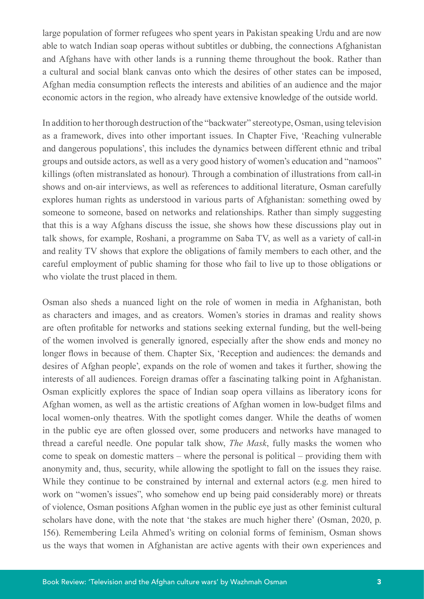large population of former refugees who spent years in Pakistan speaking Urdu and are now able to watch Indian soap operas without subtitles or dubbing, the connections Afghanistan and Afghans have with other lands is a running theme throughout the book. Rather than a cultural and social blank canvas onto which the desires of other states can be imposed, Afghan media consumption reflects the interests and abilities of an audience and the major economic actors in the region, who already have extensive knowledge of the outside world.

In addition to her thorough destruction of the "backwater" stereotype, Osman, using television as a framework, dives into other important issues. In Chapter Five, 'Reaching vulnerable and dangerous populations', this includes the dynamics between different ethnic and tribal groups and outside actors, as well as a very good history of women's education and "namoos" killings (often mistranslated as honour). Through a combination of illustrations from call-in shows and on-air interviews, as well as references to additional literature, Osman carefully explores human rights as understood in various parts of Afghanistan: something owed by someone to someone, based on networks and relationships. Rather than simply suggesting that this is a way Afghans discuss the issue, she shows how these discussions play out in talk shows, for example, Roshani, a programme on Saba TV, as well as a variety of call-in and reality TV shows that explore the obligations of family members to each other, and the careful employment of public shaming for those who fail to live up to those obligations or who violate the trust placed in them.

Osman also sheds a nuanced light on the role of women in media in Afghanistan, both as characters and images, and as creators. Women's stories in dramas and reality shows are often profitable for networks and stations seeking external funding, but the well-being of the women involved is generally ignored, especially after the show ends and money no longer flows in because of them. Chapter Six, 'Reception and audiences: the demands and desires of Afghan people', expands on the role of women and takes it further, showing the interests of all audiences. Foreign dramas offer a fascinating talking point in Afghanistan. Osman explicitly explores the space of Indian soap opera villains as liberatory icons for Afghan women, as well as the artistic creations of Afghan women in low-budget films and local women-only theatres. With the spotlight comes danger. While the deaths of women in the public eye are often glossed over, some producers and networks have managed to thread a careful needle. One popular talk show, *The Mask*, fully masks the women who come to speak on domestic matters – where the personal is political – providing them with anonymity and, thus, security, while allowing the spotlight to fall on the issues they raise. While they continue to be constrained by internal and external actors (e.g. men hired to work on "women's issues", who somehow end up being paid considerably more) or threats of violence, Osman positions Afghan women in the public eye just as other feminist cultural scholars have done, with the note that 'the stakes are much higher there' (Osman, 2020, p. 156). Remembering Leila Ahmed's writing on colonial forms of feminism, Osman shows us the ways that women in Afghanistan are active agents with their own experiences and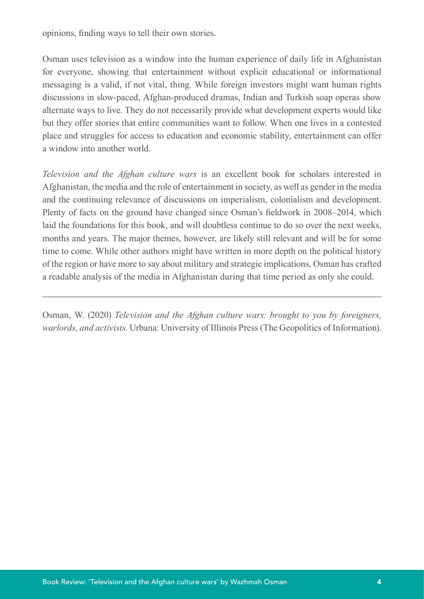opinions, finding ways to tell their own stories.

Osman uses television as a window into the human experience of daily life in Afghanistan for everyone, showing that entertainment without explicit educational or informational messaging is a valid, if not vital, thing. While foreign investors might want human rights discussions in slow-paced, Afghan-produced dramas, Indian and Turkish soap operas show alternate ways to live. They do not necessarily provide what development experts would like but they offer stories that entire communities want to follow. When one lives in a contested place and struggles for access to education and economic stability, entertainment can offer a window into another world.

*Television and the Afghan culture wars* is an excellent book for scholars interested in Afghanistan, the media and the role of entertainment in society, as well as gender in the media and the continuing relevance of discussions on imperialism, colonialism and development. Plenty of facts on the ground have changed since Osman's fieldwork in 2008–2014, which laid the foundations for this book, and will doubtless continue to do so over the next weeks, months and years. The major themes, however, are likely still relevant and will be for some time to come. While other authors might have written in more depth on the political history of the region or have more to say about military and strategic implications, Osman has crafted a readable analysis of the media in Afghanistan during that time period as only she could.

Osman, W. (2020) *Television and the Afghan culture wars: brought to you by foreigners, warlords, and activists*. Urbana: University of Illinois Press (The Geopolitics of Information).